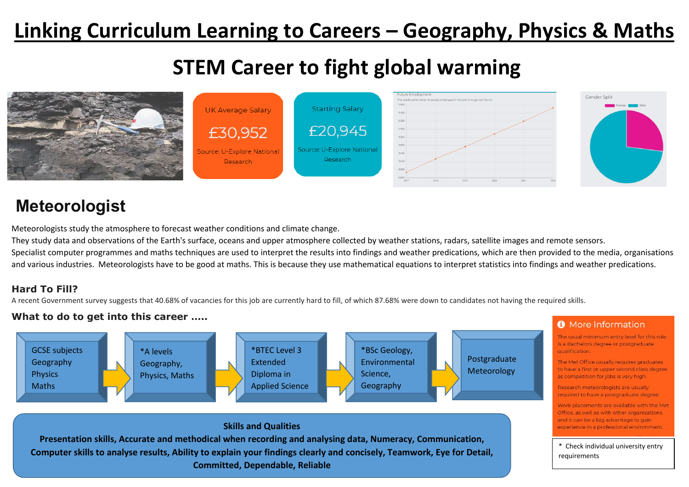# **Linking Curriculum Learning to Careers – Geography, Physics & Maths**

# **STEM Career to fight global warming**



# **Meteorologist**

Meteorologists study the atmosphere to forecast weather conditions and climate change.

They study data and observations of the Earth's surface, oceans and upper atmosphere collected by weather stations, radars, satellite images and remote sensors.

Specialist computer programmes and maths techniques are used to interpret the results into findings and weather predications, which are then provided to the media, organisations and various industries. Meteorologists have to be good at maths. This is because they use mathematical equations to interpret statistics into findings and weather predications.

#### **Hard To Fill?**

A recent Government survey suggests that 40.68% of vacancies for this job are currently hard to fill, of which 87.68% were down to candidates not having the required skills.

#### **What to do to get into this career …..**